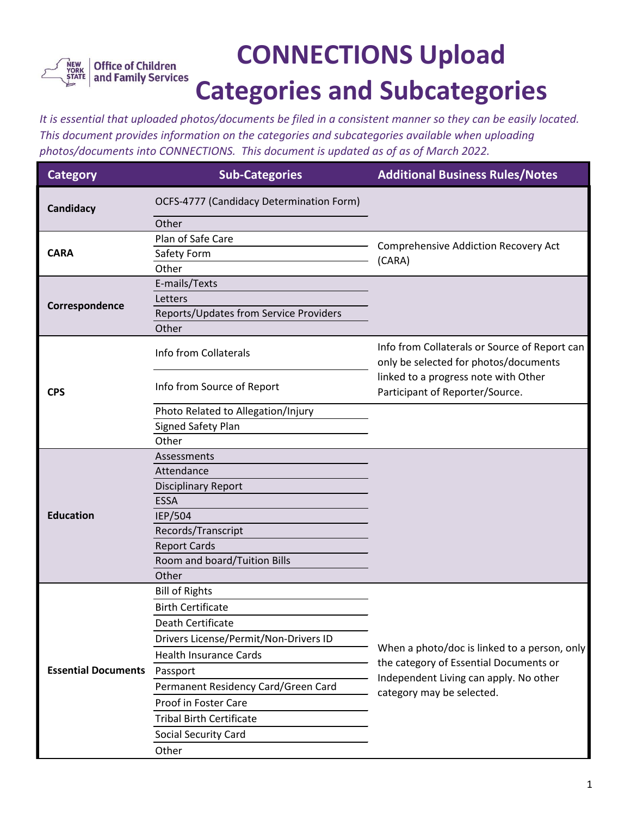

## **CONNECTIONS Upload Categories and Subcategories**

*It is essential that uploaded photos/documents be filed in a consistent manner so they can be easily located. This document provides information on the categories and subcategories available when uploading photos/documents into CONNECTIONS. This document is updated as of as of March 2022.*

| <b>Category</b>            | <b>Sub-Categories</b>                    | <b>Additional Business Rules/Notes</b>                                                                                                                        |
|----------------------------|------------------------------------------|---------------------------------------------------------------------------------------------------------------------------------------------------------------|
| Candidacy                  | OCFS-4777 (Candidacy Determination Form) |                                                                                                                                                               |
|                            | Other                                    |                                                                                                                                                               |
| <b>CARA</b>                | Plan of Safe Care                        | <b>Comprehensive Addiction Recovery Act</b><br>(CARA)                                                                                                         |
|                            | Safety Form                              |                                                                                                                                                               |
|                            | Other                                    |                                                                                                                                                               |
|                            | E-mails/Texts                            |                                                                                                                                                               |
| Correspondence             | Letters                                  |                                                                                                                                                               |
|                            | Reports/Updates from Service Providers   |                                                                                                                                                               |
|                            | Other                                    |                                                                                                                                                               |
| <b>CPS</b>                 | Info from Collaterals                    | Info from Collaterals or Source of Report can<br>only be selected for photos/documents                                                                        |
|                            | Info from Source of Report               | linked to a progress note with Other<br>Participant of Reporter/Source.                                                                                       |
|                            | Photo Related to Allegation/Injury       |                                                                                                                                                               |
|                            | Signed Safety Plan                       |                                                                                                                                                               |
|                            | Other                                    |                                                                                                                                                               |
|                            | Assessments                              |                                                                                                                                                               |
|                            | Attendance                               |                                                                                                                                                               |
|                            | <b>Disciplinary Report</b>               |                                                                                                                                                               |
|                            | <b>ESSA</b>                              |                                                                                                                                                               |
| <b>Education</b>           | IEP/504                                  |                                                                                                                                                               |
|                            | Records/Transcript                       |                                                                                                                                                               |
|                            | <b>Report Cards</b>                      |                                                                                                                                                               |
|                            | Room and board/Tuition Bills             |                                                                                                                                                               |
|                            | Other                                    |                                                                                                                                                               |
| <b>Essential Documents</b> | <b>Bill of Rights</b>                    |                                                                                                                                                               |
|                            | <b>Birth Certificate</b>                 |                                                                                                                                                               |
|                            | Death Certificate                        |                                                                                                                                                               |
|                            | Drivers License/Permit/Non-Drivers ID    | When a photo/doc is linked to a person, only<br>the category of Essential Documents or<br>Independent Living can apply. No other<br>category may be selected. |
|                            | <b>Health Insurance Cards</b>            |                                                                                                                                                               |
|                            | Passport                                 |                                                                                                                                                               |
|                            | Permanent Residency Card/Green Card      |                                                                                                                                                               |
|                            | Proof in Foster Care                     |                                                                                                                                                               |
|                            | <b>Tribal Birth Certificate</b>          |                                                                                                                                                               |
|                            | Social Security Card                     |                                                                                                                                                               |
|                            | Other                                    |                                                                                                                                                               |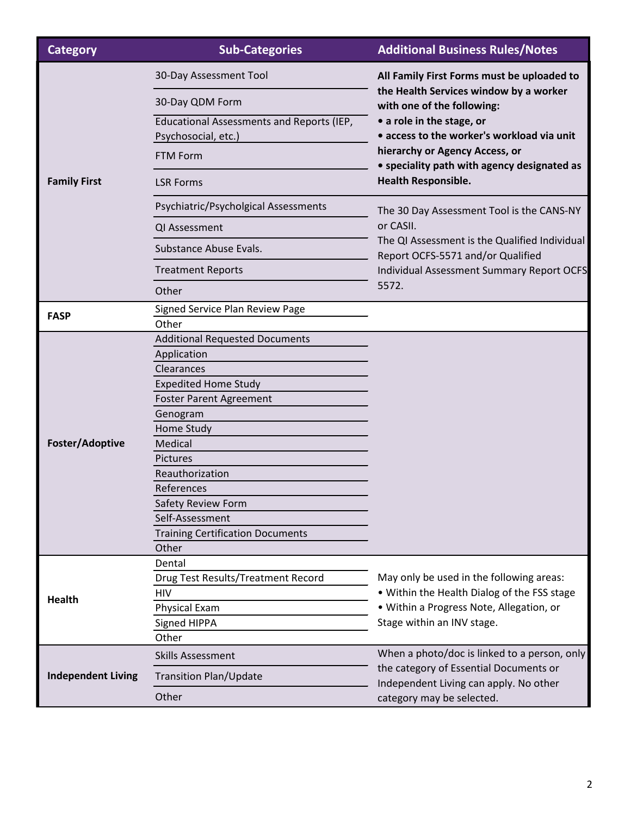| <b>Category</b>           | <b>Sub-Categories</b>                                            | <b>Additional Business Rules/Notes</b>                                                                                                                                                                                                                                                                |
|---------------------------|------------------------------------------------------------------|-------------------------------------------------------------------------------------------------------------------------------------------------------------------------------------------------------------------------------------------------------------------------------------------------------|
| <b>Family First</b>       | 30-Day Assessment Tool                                           | All Family First Forms must be uploaded to<br>the Health Services window by a worker<br>with one of the following:<br>• a role in the stage, or<br>• access to the worker's workload via unit<br>hierarchy or Agency Access, or<br>• speciality path with agency designated as<br>Health Responsible. |
|                           | 30-Day QDM Form                                                  |                                                                                                                                                                                                                                                                                                       |
|                           | Educational Assessments and Reports (IEP,<br>Psychosocial, etc.) |                                                                                                                                                                                                                                                                                                       |
|                           | <b>FTM Form</b>                                                  |                                                                                                                                                                                                                                                                                                       |
|                           | <b>LSR Forms</b>                                                 |                                                                                                                                                                                                                                                                                                       |
|                           | Psychiatric/Psycholgical Assessments                             | The 30 Day Assessment Tool is the CANS-NY<br>or CASII.<br>The QI Assessment is the Qualified Individual<br>Report OCFS-5571 and/or Qualified<br>Individual Assessment Summary Report OCFS<br>5572.                                                                                                    |
|                           | QI Assessment                                                    |                                                                                                                                                                                                                                                                                                       |
|                           | Substance Abuse Evals.                                           |                                                                                                                                                                                                                                                                                                       |
|                           | <b>Treatment Reports</b>                                         |                                                                                                                                                                                                                                                                                                       |
|                           | Other                                                            |                                                                                                                                                                                                                                                                                                       |
| <b>FASP</b>               | Signed Service Plan Review Page                                  |                                                                                                                                                                                                                                                                                                       |
|                           | Other                                                            |                                                                                                                                                                                                                                                                                                       |
|                           | <b>Additional Requested Documents</b>                            |                                                                                                                                                                                                                                                                                                       |
|                           | Application                                                      |                                                                                                                                                                                                                                                                                                       |
|                           | Clearances                                                       |                                                                                                                                                                                                                                                                                                       |
|                           | <b>Expedited Home Study</b>                                      |                                                                                                                                                                                                                                                                                                       |
|                           | <b>Foster Parent Agreement</b>                                   |                                                                                                                                                                                                                                                                                                       |
|                           | Genogram                                                         |                                                                                                                                                                                                                                                                                                       |
|                           | Home Study                                                       |                                                                                                                                                                                                                                                                                                       |
| Foster/Adoptive           | Medical                                                          |                                                                                                                                                                                                                                                                                                       |
|                           | Pictures                                                         |                                                                                                                                                                                                                                                                                                       |
|                           | Reauthorization                                                  |                                                                                                                                                                                                                                                                                                       |
|                           | References                                                       |                                                                                                                                                                                                                                                                                                       |
|                           | Safety Review Form                                               |                                                                                                                                                                                                                                                                                                       |
|                           | Self-Assessment<br><b>Training Certification Documents</b>       |                                                                                                                                                                                                                                                                                                       |
|                           | Other                                                            |                                                                                                                                                                                                                                                                                                       |
|                           | Dental                                                           |                                                                                                                                                                                                                                                                                                       |
| <b>Health</b>             | Drug Test Results/Treatment Record                               | May only be used in the following areas:                                                                                                                                                                                                                                                              |
|                           | <b>HIV</b>                                                       | . Within the Health Dialog of the FSS stage                                                                                                                                                                                                                                                           |
|                           | <b>Physical Exam</b>                                             | · Within a Progress Note, Allegation, or                                                                                                                                                                                                                                                              |
|                           | Signed HIPPA                                                     | Stage within an INV stage.                                                                                                                                                                                                                                                                            |
|                           | Other                                                            |                                                                                                                                                                                                                                                                                                       |
| <b>Independent Living</b> | <b>Skills Assessment</b>                                         | When a photo/doc is linked to a person, only<br>the category of Essential Documents or<br>Independent Living can apply. No other<br>category may be selected.                                                                                                                                         |
|                           | <b>Transition Plan/Update</b>                                    |                                                                                                                                                                                                                                                                                                       |
|                           | Other                                                            |                                                                                                                                                                                                                                                                                                       |